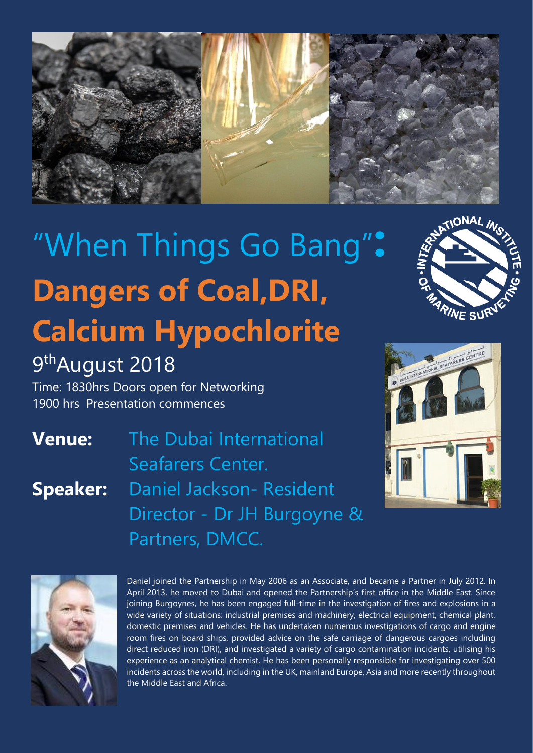

## "When Things Go Bang"**: Dangers of Coal,DRI, Calcium Hypochlorite**



Time: 1830hrs Doors open for Networking 1900 hrs Presentation commences

**Venue:** The Dubai International Seafarers Center. **Speaker:** Daniel Jackson- Resident Director - Dr JH Burgoyne & Partners, DMCC.



**ARINE SUR** 



Daniel joined the Partnership in May 2006 as an Associate, and became a Partner in July 2012. In April 2013, he moved to Dubai and opened the Partnership's first office in the Middle East. Since joining Burgoynes, he has been engaged full-time in the investigation of fires and explosions in a wide variety of situations: industrial premises and machinery, electrical equipment, chemical plant, domestic premises and vehicles. He has undertaken numerous investigations of cargo and engine room fires on board ships, provided advice on the safe carriage of dangerous cargoes including direct reduced iron (DRI), and investigated a variety of cargo contamination incidents, utilising his experience as an analytical chemist. He has been personally responsible for investigating over 500 incidents across the world, including in the UK, mainland Europe, Asia and more recently throughout the Middle East and Africa.